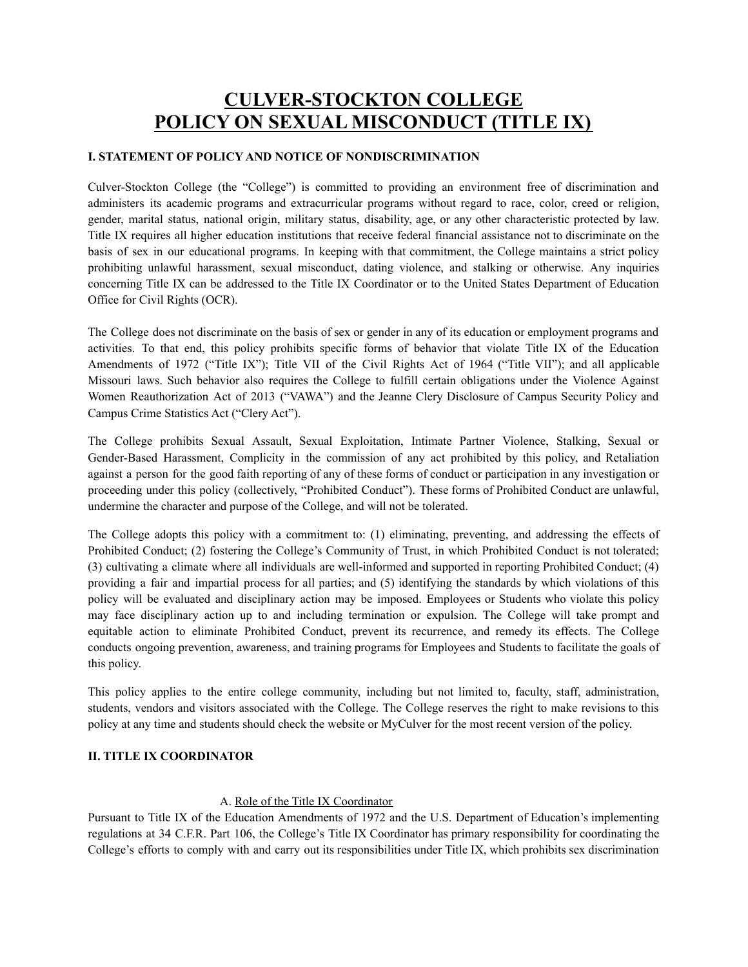# **CULVER-STOCKTON COLLEGE POLICY ON SEXUAL MISCONDUCT (TITLE IX)**

## **I. STATEMENT OF POLICY AND NOTICE OF NONDISCRIMINATION**

Culver-Stockton College (the "College") is committed to providing an environment free of discrimination and administers its academic programs and extracurricular programs without regard to race, color, creed or religion, gender, marital status, national origin, military status, disability, age, or any other characteristic protected by law. Title IX requires all higher education institutions that receive federal financial assistance not to discriminate on the basis of sex in our educational programs. In keeping with that commitment, the College maintains a strict policy prohibiting unlawful harassment, sexual misconduct, dating violence, and stalking or otherwise. Any inquiries concerning Title IX can be addressed to the Title IX Coordinator or to the United States Department of Education Office for Civil Rights (OCR).

The College does not discriminate on the basis of sex or gender in any of its education or employment programs and activities. To that end, this policy prohibits specific forms of behavior that violate Title IX of the Education Amendments of 1972 ("Title IX"); Title VII of the Civil Rights Act of 1964 ("Title VII"); and all applicable Missouri laws. Such behavior also requires the College to fulfill certain obligations under the Violence Against Women Reauthorization Act of 2013 ("VAWA") and the Jeanne Clery Disclosure of Campus Security Policy and Campus Crime Statistics Act ("Clery Act").

The College prohibits Sexual Assault, Sexual Exploitation, Intimate Partner Violence, Stalking, Sexual or Gender-Based Harassment, Complicity in the commission of any act prohibited by this policy, and Retaliation against a person for the good faith reporting of any of these forms of conduct or participation in any investigation or proceeding under this policy (collectively, "Prohibited Conduct"). These forms of Prohibited Conduct are unlawful, undermine the character and purpose of the College, and will not be tolerated.

The College adopts this policy with a commitment to: (1) eliminating, preventing, and addressing the effects of Prohibited Conduct; (2) fostering the College's Community of Trust, in which Prohibited Conduct is not tolerated; (3) cultivating a climate where all individuals are well-informed and supported in reporting Prohibited Conduct; (4) providing a fair and impartial process for all parties; and (5) identifying the standards by which violations of this policy will be evaluated and disciplinary action may be imposed. Employees or Students who violate this policy may face disciplinary action up to and including termination or expulsion. The College will take prompt and equitable action to eliminate Prohibited Conduct, prevent its recurrence, and remedy its effects. The College conducts ongoing prevention, awareness, and training programs for Employees and Students to facilitate the goals of this policy.

This policy applies to the entire college community, including but not limited to, faculty, staff, administration, students, vendors and visitors associated with the College. The College reserves the right to make revisions to this policy at any time and students should check the website or MyCulver for the most recent version of the policy.

#### **II. TITLE IX COORDINATOR**

# A. Role of the Title IX Coordinator

Pursuant to Title IX of the Education Amendments of 1972 and the U.S. Department of Education's implementing regulations at 34 C.F.R. Part 106[,](http://www2.ed.gov/policy/rights/reg/ocr/edlite-34cfr106.html#S8) the College's Title IX Coordinator has primary responsibility for coordinating the College's efforts to comply with and carry out its responsibilities under Title IX, which prohibits sex discrimination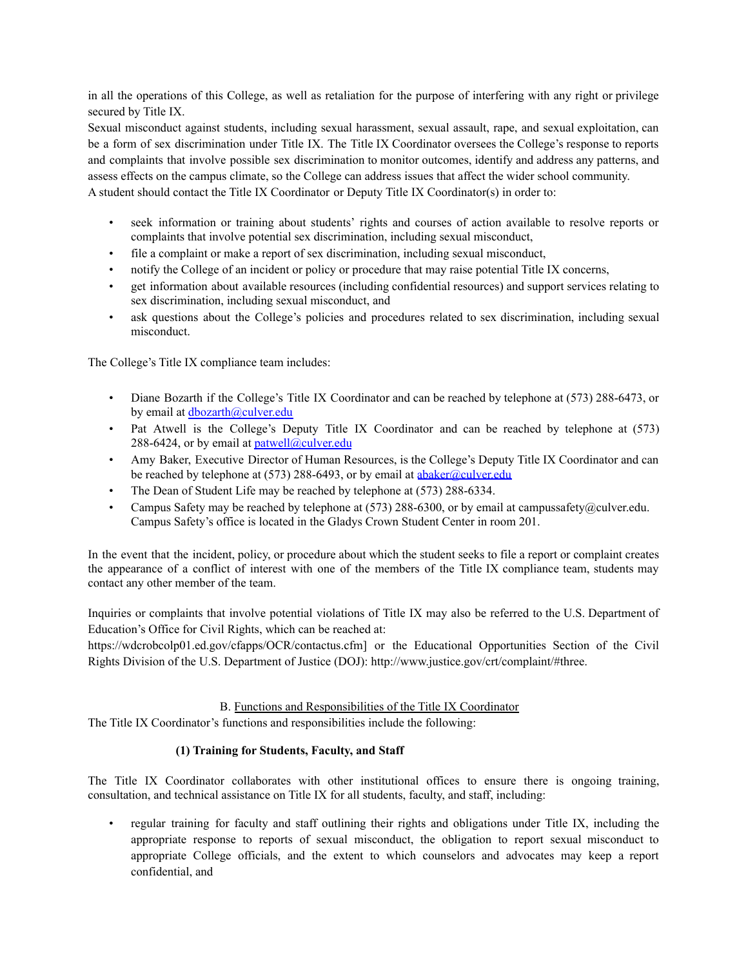in all the operations of this College, as well as retaliation for the purpose of interfering with any right or privilege secured by Title IX.

Sexual misconduct against students, including sexual harassment, sexual assault, rape, and sexual exploitation, can be a form of sex discrimination under Title IX. The Title IX Coordinator oversees the College's response to reports and complaints that involve possible sex discrimination to monitor outcomes, identify and address any patterns, and assess effects on the campus climate, so the College can address issues that affect the wider school community. A student should contact the Title IX Coordinator or Deputy Title IX Coordinator(s) in order to:

- seek information or training about students' rights and courses of action available to resolve reports or complaints that involve potential sex discrimination, including sexual misconduct,
- file a complaint or make a report of sex discrimination, including sexual misconduct,
- notify the College of an incident or policy or procedure that may raise potential Title IX concerns,
- get information about available resources (including confidential resources) and support services relating to sex discrimination, including sexual misconduct, and
- ask questions about the College's policies and procedures related to sex discrimination, including sexual misconduct.

The College's Title IX compliance team includes:

- Diane Bozarth if the College's Title IX Coordinator and can be reached by telephone at (573) 288-6473, or by email at [dbozarth@culver.edu](mailto:dbozarth@culver.edu)
- Pat Atwell is the College's Deputy Title IX Coordinator and can be reached by telephone at (573) 288-6424, or by email at **[patwell@culver.edu](mailto:patwell@culver.edu)**
- Amy Baker, Executive Director of Human Resources, is the College's Deputy Title IX Coordinator and can be reached by telephone at (573) 288-6493, or by email at [abaker@culver.edu](mailto:abaker@culver.edu)
- The Dean of Student Life may be reached by telephone at (573) 288-6334.
- Campus Safety may be reached by telephone at (573) 288-6300, or by email at campussafety@culver.edu. Campus Safety's office is located in the Gladys Crown Student Center in room 201.

In the event that the incident, policy, or procedure about which the student seeks to file a report or complaint creates the appearance of a conflict of interest with one of the members of the Title IX compliance team, students may contact any other member of the team.

Inquiries or complaints that involve potential violations of Title IX may also be referred to the U.S. Department of Education's Office for Civil Rights, which can be reached at:

https://wdcrobcolp01.ed.gov/cfapps/OCR/contactus.cf[m\]](https://wdcrobcolp01.ed.gov/cfapps/OCR/contactus.cfm) or the Educational Opportunities Section of the Civil Rights Division of the U.S. Department of Justice (DOJ): http://www.justice.gov/crt/complaint/#three[.](http://www.justice.gov/crt/complaint/%23three)

# B. Functions and Responsibilities of the Title IX Coordinator

The Title IX Coordinator's functions and responsibilities include the following:

# **(1) Training for Students, Faculty, and Staff**

The Title IX Coordinator collaborates with other institutional offices to ensure there is ongoing training, consultation, and technical assistance on Title IX for all students, faculty, and staff, including:

• regular training for faculty and staff outlining their rights and obligations under Title IX, including the appropriate response to reports of sexual misconduct, the obligation to report sexual misconduct to appropriate College officials, and the extent to which counselors and advocates may keep a report confidential, and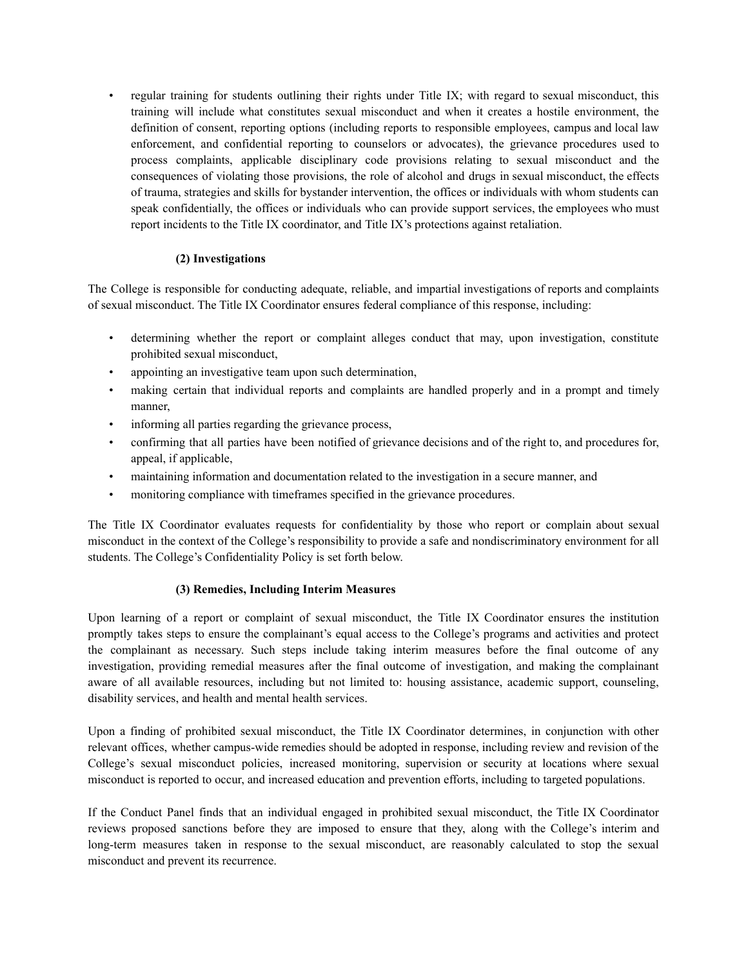• regular training for students outlining their rights under Title IX; with regard to sexual misconduct, this training will include what constitutes sexual misconduct and when it creates a hostile environment, the definition of consent, reporting options (including reports to responsible employees, campus and local law enforcement, and confidential reporting to counselors or advocates), the grievance procedures used to process complaints, applicable disciplinary code provisions relating to sexual misconduct and the consequences of violating those provisions, the role of alcohol and drugs in sexual misconduct, the effects of trauma, strategies and skills for bystander intervention, the offices or individuals with whom students can speak confidentially, the offices or individuals who can provide support services, the employees who must report incidents to the Title IX coordinator, and Title IX's protections against retaliation.

# **(2) Investigations**

The College is responsible for conducting adequate, reliable, and impartial investigations of reports and complaints of sexual misconduct. The Title IX Coordinator ensures federal compliance of this response, including:

- determining whether the report or complaint alleges conduct that may, upon investigation, constitute prohibited sexual misconduct,
- appointing an investigative team upon such determination,
- making certain that individual reports and complaints are handled properly and in a prompt and timely manner,
- informing all parties regarding the grievance process,
- confirming that all parties have been notified of grievance decisions and of the right to, and procedures for, appeal, if applicable,
- maintaining information and documentation related to the investigation in a secure manner, and
- monitoring compliance with timeframes specified in the grievance procedures.

The Title IX Coordinator evaluates requests for confidentiality by those who report or complain about sexual misconduct in the context of the College's responsibility to provide a safe and nondiscriminatory environment for all students. The College's Confidentiality Policy is set forth below.

# **(3) Remedies, Including Interim Measures**

Upon learning of a report or complaint of sexual misconduct, the Title IX Coordinator ensures the institution promptly takes steps to ensure the complainant's equal access to the College's programs and activities and protect the complainant as necessary. Such steps include taking interim measures before the final outcome of any investigation, providing remedial measures after the final outcome of investigation, and making the complainant aware of all available resources, including but not limited to: housing assistance, academic support, counseling, disability services, and health and mental health services.

Upon a finding of prohibited sexual misconduct, the Title IX Coordinator determines, in conjunction with other relevant offices, whether campus-wide remedies should be adopted in response, including review and revision of the College's sexual misconduct policies, increased monitoring, supervision or security at locations where sexual misconduct is reported to occur, and increased education and prevention efforts, including to targeted populations.

If the Conduct Panel finds that an individual engaged in prohibited sexual misconduct, the Title IX Coordinator reviews proposed sanctions before they are imposed to ensure that they, along with the College's interim and long-term measures taken in response to the sexual misconduct, are reasonably calculated to stop the sexual misconduct and prevent its recurrence.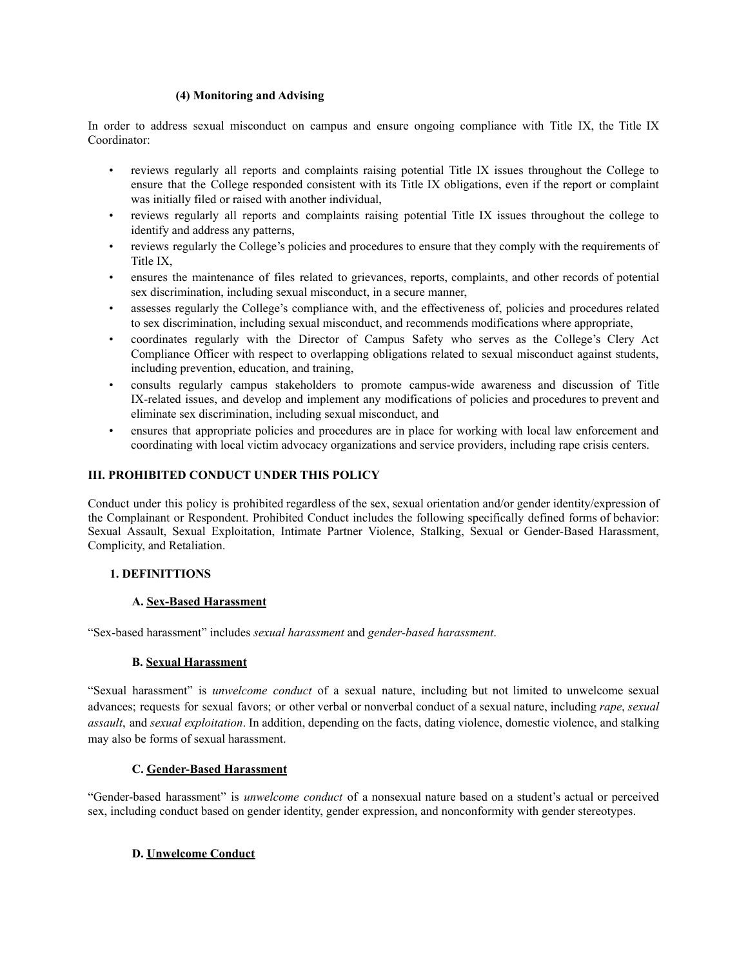#### **(4) Monitoring and Advising**

In order to address sexual misconduct on campus and ensure ongoing compliance with Title IX, the Title IX Coordinator:

- reviews regularly all reports and complaints raising potential Title IX issues throughout the College to ensure that the College responded consistent with its Title IX obligations, even if the report or complaint was initially filed or raised with another individual,
- reviews regularly all reports and complaints raising potential Title IX issues throughout the college to identify and address any patterns,
- reviews regularly the College's policies and procedures to ensure that they comply with the requirements of Title IX,
- ensures the maintenance of files related to grievances, reports, complaints, and other records of potential sex discrimination, including sexual misconduct, in a secure manner,
- assesses regularly the College's compliance with, and the effectiveness of, policies and procedures related to sex discrimination, including sexual misconduct, and recommends modifications where appropriate,
- coordinates regularly with the Director of Campus Safety who serves as the College's Clery Act Compliance Officer with respect to overlapping obligations related to sexual misconduct against students, including prevention, education, and training,
- consults regularly campus stakeholders to promote campus-wide awareness and discussion of Title IX-related issues, and develop and implement any modifications of policies and procedures to prevent and eliminate sex discrimination, including sexual misconduct, and
- ensures that appropriate policies and procedures are in place for working with local law enforcement and coordinating with local victim advocacy organizations and service providers, including rape crisis centers.

## **III. PROHIBITED CONDUCT UNDER THIS POLICY**

Conduct under this policy is prohibited regardless of the sex, sexual orientation and/or gender identity/expression of the Complainant or Respondent. Prohibited Conduct includes the following specifically defined forms of behavior: Sexual Assault, Sexual Exploitation, Intimate Partner Violence, Stalking, Sexual or Gender-Based Harassment, Complicity, and Retaliation.

# **1. DEFINITTIONS**

#### **A. Sex-Based Harassment**

"Sex-based harassment" includes *sexual harassment* and *gender-based harassment*.

#### **B. Sexual Harassment**

"Sexual harassment" is *unwelcome conduct* of a sexual nature, including but not limited to unwelcome sexual advances; requests for sexual favors; or other verbal or nonverbal conduct of a sexual nature, including *rape*, *sexual assault*, and *sexual exploitation*. In addition, depending on the facts, dating violence, domestic violence, and stalking may also be forms of sexual harassment.

#### **C. Gender-Based Harassment**

"Gender-based harassment" is *unwelcome conduct* of a nonsexual nature based on a student's actual or perceived sex, including conduct based on gender identity, gender expression, and nonconformity with gender stereotypes.

# **D. Unwelcome Conduct**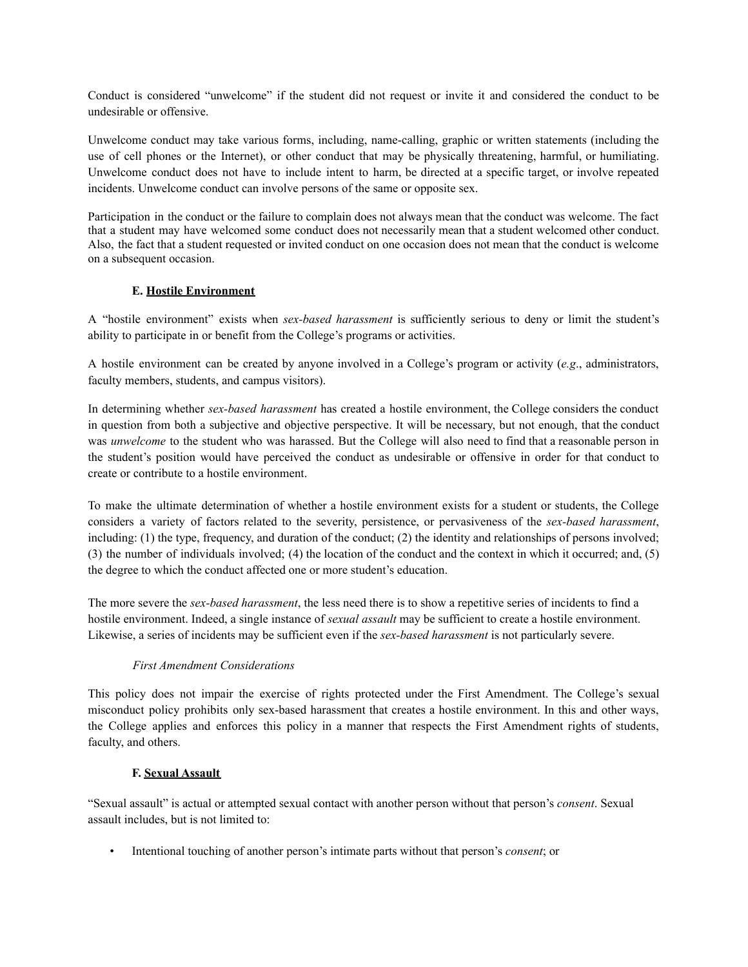Conduct is considered "unwelcome" if the student did not request or invite it and considered the conduct to be undesirable or offensive.

Unwelcome conduct may take various forms, including, name-calling, graphic or written statements (including the use of cell phones or the Internet), or other conduct that may be physically threatening, harmful, or humiliating. Unwelcome conduct does not have to include intent to harm, be directed at a specific target, or involve repeated incidents. Unwelcome conduct can involve persons of the same or opposite sex.

Participation in the conduct or the failure to complain does not always mean that the conduct was welcome. The fact that a student may have welcomed some conduct does not necessarily mean that a student welcomed other conduct. Also, the fact that a student requested or invited conduct on one occasion does not mean that the conduct is welcome on a subsequent occasion.

# **E. Hostile Environment**

A "hostile environment" exists when *sex-based harassment* is sufficiently serious to deny or limit the student's ability to participate in or benefit from the College's programs or activities.

A hostile environment can be created by anyone involved in a College's program or activity (*e.g*., administrators, faculty members, students, and campus visitors).

In determining whether *sex-based harassment* has created a hostile environment, the College considers the conduct in question from both a subjective and objective perspective. It will be necessary, but not enough, that the conduct was *unwelcome* to the student who was harassed. But the College will also need to find that a reasonable person in the student's position would have perceived the conduct as undesirable or offensive in order for that conduct to create or contribute to a hostile environment.

To make the ultimate determination of whether a hostile environment exists for a student or students, the College considers a variety of factors related to the severity, persistence, or pervasiveness of the *sex-based harassment*, including: (1) the type, frequency, and duration of the conduct; (2) the identity and relationships of persons involved; (3) the number of individuals involved; (4) the location of the conduct and the context in which it occurred; and, (5) the degree to which the conduct affected one or more student's education.

The more severe the *sex-based harassment*, the less need there is to show a repetitive series of incidents to find a hostile environment. Indeed, a single instance of *sexual assault* may be sufficient to create a hostile environment. Likewise, a series of incidents may be sufficient even if the *sex-based harassment* is not particularly severe.

# *First Amendment Considerations*

This policy does not impair the exercise of rights protected under the First Amendment. The College's sexual misconduct policy prohibits only sex-based harassment that creates a hostile environment. In this and other ways, the College applies and enforces this policy in a manner that respects the First Amendment rights of students, faculty, and others.

# **F. Sexual Assault**

"Sexual assault" is actual or attempted sexual contact with another person without that person's *consent*. Sexual assault includes, but is not limited to:

• Intentional touching of another person's intimate parts without that person's *consent*; or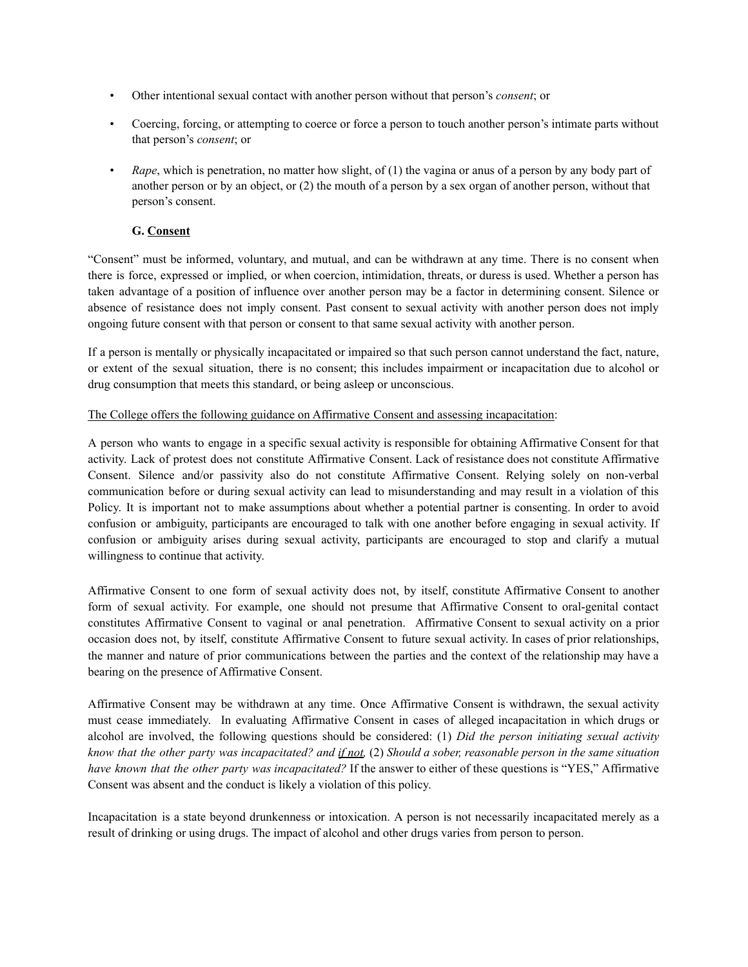- Other intentional sexual contact with another person without that person's *consent*; or
- Coercing, forcing, or attempting to coerce or force a person to touch another person's intimate parts without that person's *consent*; or
- *Rape*, which is penetration, no matter how slight, of (1) the vagina or anus of a person by any body part of another person or by an object, or (2) the mouth of a person by a sex organ of another person, without that person's consent.

## **G. Consent**

"Consent" must be informed, voluntary, and mutual, and can be withdrawn at any time. There is no consent when there is force, expressed or implied, or when coercion, intimidation, threats, or duress is used. Whether a person has taken advantage of a position of influence over another person may be a factor in determining consent. Silence or absence of resistance does not imply consent. Past consent to sexual activity with another person does not imply ongoing future consent with that person or consent to that same sexual activity with another person.

If a person is mentally or physically incapacitated or impaired so that such person cannot understand the fact, nature, or extent of the sexual situation, there is no consent; this includes impairment or incapacitation due to alcohol or drug consumption that meets this standard, or being asleep or unconscious.

#### The College offers the following guidance on Affirmative Consent and assessing incapacitation:

A person who wants to engage in a specific sexual activity is responsible for obtaining Affirmative Consent for that activity. Lack of protest does not constitute Affirmative Consent. Lack of resistance does not constitute Affirmative Consent. Silence and/or passivity also do not constitute Affirmative Consent. Relying solely on non-verbal communication before or during sexual activity can lead to misunderstanding and may result in a violation of this Policy. It is important not to make assumptions about whether a potential partner is consenting. In order to avoid confusion or ambiguity, participants are encouraged to talk with one another before engaging in sexual activity. If confusion or ambiguity arises during sexual activity, participants are encouraged to stop and clarify a mutual willingness to continue that activity.

Affirmative Consent to one form of sexual activity does not, by itself, constitute Affirmative Consent to another form of sexual activity. For example, one should not presume that Affirmative Consent to oral-genital contact constitutes Affirmative Consent to vaginal or anal penetration. Affirmative Consent to sexual activity on a prior occasion does not, by itself, constitute Affirmative Consent to future sexual activity. In cases of prior relationships, the manner and nature of prior communications between the parties and the context of the relationship may have a bearing on the presence of Affirmative Consent.

Affirmative Consent may be withdrawn at any time. Once Affirmative Consent is withdrawn, the sexual activity must cease immediately. In evaluating Affirmative Consent in cases of alleged incapacitation in which drugs or alcohol are involved, the following questions should be considered: (1) *Did the person initiating sexual activity* know that the other party was incapacitated? and if not,  $(2)$  Should a sober, reasonable person in the same situation *have known that the other party was incapacitated?* If the answer to either of these questions is "YES," Affirmative Consent was absent and the conduct is likely a violation of this policy.

Incapacitation is a state beyond drunkenness or intoxication. A person is not necessarily incapacitated merely as a result of drinking or using drugs. The impact of alcohol and other drugs varies from person to person.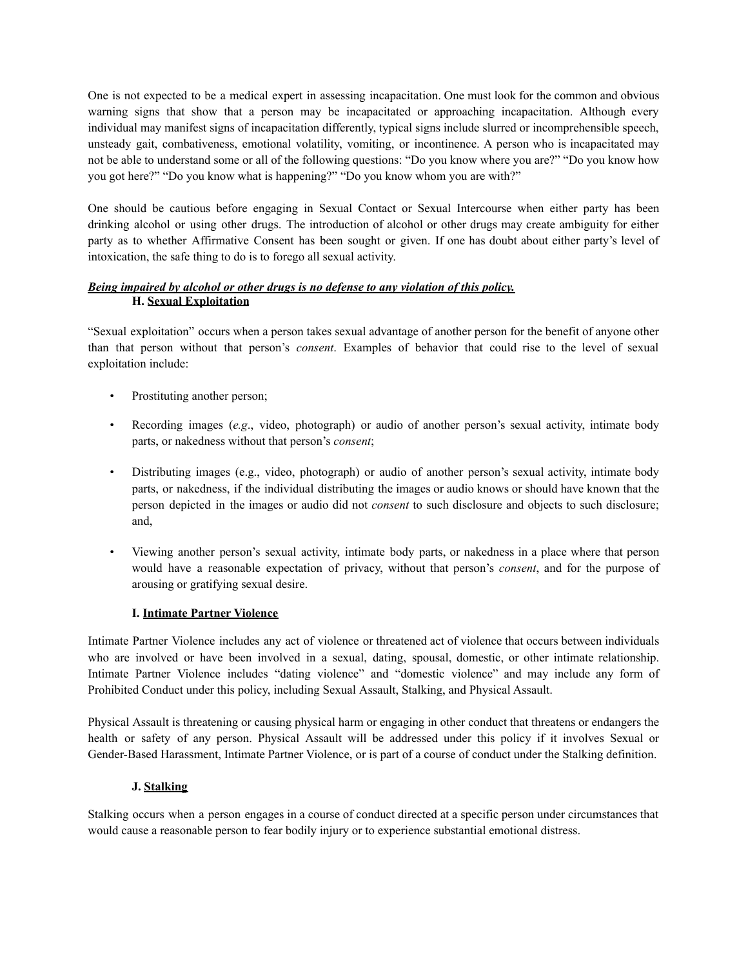One is not expected to be a medical expert in assessing incapacitation. One must look for the common and obvious warning signs that show that a person may be incapacitated or approaching incapacitation. Although every individual may manifest signs of incapacitation differently, typical signs include slurred or incomprehensible speech, unsteady gait, combativeness, emotional volatility, vomiting, or incontinence. A person who is incapacitated may not be able to understand some or all of the following questions: "Do you know where you are?" "Do you know how you got here?" "Do you know what is happening?" "Do you know whom you are with?"

One should be cautious before engaging in Sexual Contact or Sexual Intercourse when either party has been drinking alcohol or using other drugs. The introduction of alcohol or other drugs may create ambiguity for either party as to whether Affirmative Consent has been sought or given. If one has doubt about either party's level of intoxication, the safe thing to do is to forego all sexual activity.

## *Being impaired by alcohol or other drugs is no defense to any violation of this policy.* **H. Sexual Exploitation**

"Sexual exploitation" occurs when a person takes sexual advantage of another person for the benefit of anyone other than that person without that person's *consent*. Examples of behavior that could rise to the level of sexual exploitation include:

- Prostituting another person;
- Recording images (*e.g*., video, photograph) or audio of another person's sexual activity, intimate body parts, or nakedness without that person's *consent*;
- Distributing images (e.g., video, photograph) or audio of another person's sexual activity, intimate body parts, or nakedness, if the individual distributing the images or audio knows or should have known that the person depicted in the images or audio did not *consent* to such disclosure and objects to such disclosure; and,
- Viewing another person's sexual activity, intimate body parts, or nakedness in a place where that person would have a reasonable expectation of privacy, without that person's *consent*, and for the purpose of arousing or gratifying sexual desire.

# **I. Intimate Partner Violence**

Intimate Partner Violence includes any act of violence or threatened act of violence that occurs between individuals who are involved or have been involved in a sexual, dating, spousal, domestic, or other intimate relationship. Intimate Partner Violence includes "dating violence" and "domestic violence" and may include any form of Prohibited Conduct under this policy, including Sexual Assault, Stalking, and Physical Assault.

Physical Assault is threatening or causing physical harm or engaging in other conduct that threatens or endangers the health or safety of any person. Physical Assault will be addressed under this policy if it involves Sexual or Gender-Based Harassment, Intimate Partner Violence, or is part of a course of conduct under the Stalking definition.

#### **J. Stalking**

Stalking occurs when a person engages in a course of conduct directed at a specific person under circumstances that would cause a reasonable person to fear bodily injury or to experience substantial emotional distress.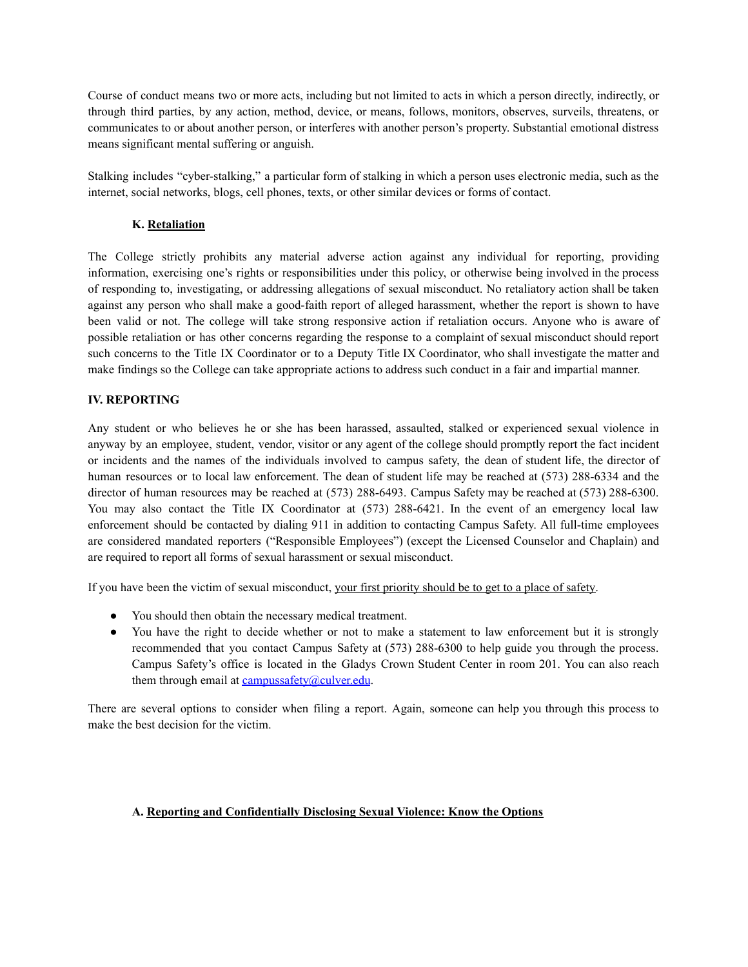Course of conduct means two or more acts, including but not limited to acts in which a person directly, indirectly, or through third parties, by any action, method, device, or means, follows, monitors, observes, surveils, threatens, or communicates to or about another person, or interferes with another person's property. Substantial emotional distress means significant mental suffering or anguish.

Stalking includes "cyber-stalking," a particular form of stalking in which a person uses electronic media, such as the internet, social networks, blogs, cell phones, texts, or other similar devices or forms of contact.

## **K. Retaliation**

The College strictly prohibits any material adverse action against any individual for reporting, providing information, exercising one's rights or responsibilities under this policy, or otherwise being involved in the process of responding to, investigating, or addressing allegations of sexual misconduct. No retaliatory action shall be taken against any person who shall make a good-faith report of alleged harassment, whether the report is shown to have been valid or not. The college will take strong responsive action if retaliation occurs. Anyone who is aware of possible retaliation or has other concerns regarding the response to a complaint of sexual misconduct should report such concerns to the Title IX Coordinator or to a Deputy Title IX Coordinator, who shall investigate the matter and make findings so the College can take appropriate actions to address such conduct in a fair and impartial manner.

## **IV. REPORTING**

Any student or who believes he or she has been harassed, assaulted, stalked or experienced sexual violence in anyway by an employee, student, vendor, visitor or any agent of the college should promptly report the fact incident or incidents and the names of the individuals involved to campus safety, the dean of student life, the director of human resources or to local law enforcement. The dean of student life may be reached at (573) 288-6334 and the director of human resources may be reached at (573) 288-6493. Campus Safety may be reached at (573) 288-6300. You may also contact the Title IX Coordinator at (573) 288-6421. In the event of an emergency local law enforcement should be contacted by dialing 911 in addition to contacting Campus Safety. All full-time employees are considered mandated reporters ("Responsible Employees") (except the Licensed Counselor and Chaplain) and are required to report all forms of sexual harassment or sexual misconduct.

If you have been the victim of sexual misconduct, your first priority should be to get to a place of safety.

- You should then obtain the necessary medical treatment.
- You have the right to decide whether or not to make a statement to law enforcement but it is strongly recommended that you contact Campus Safety at (573) 288-6300 to help guide you through the process. Campus Safety's office is located in the Gladys Crown Student Center in room 201. You can also reach them through email at [campussafety@culver.edu](mailto:campussafety@culver.edu).

There are several options to consider when filing a report. Again, someone can help you through this process to make the best decision for the victim.

#### **A. Reporting and Confidentially Disclosing Sexual Violence: Know the Options**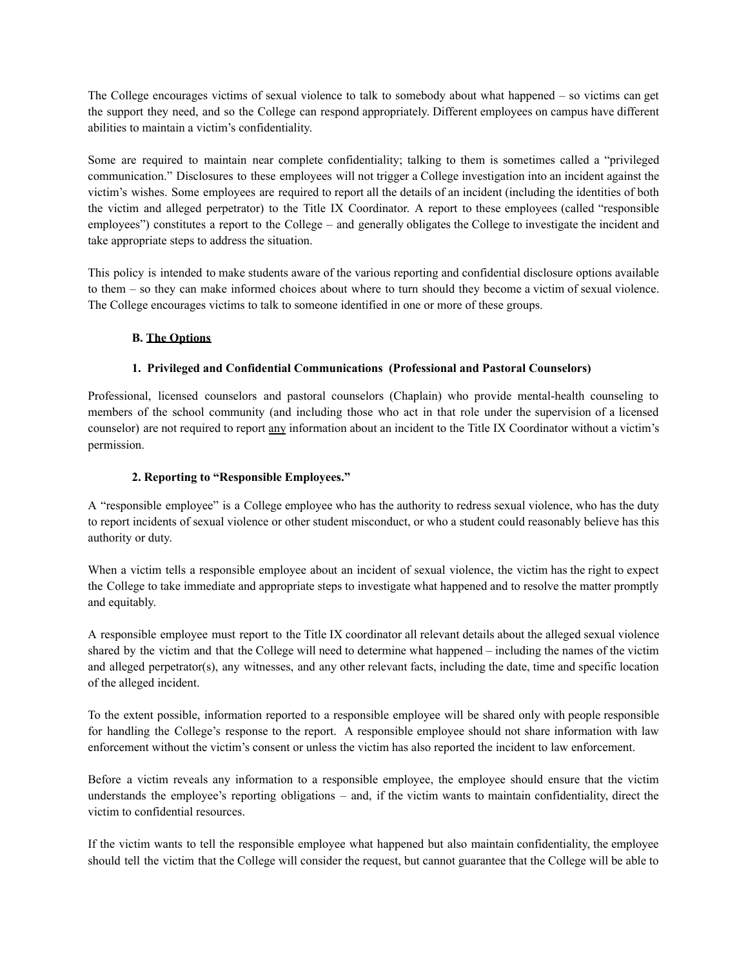The College encourages victims of sexual violence to talk to somebody about what happened – so victims can get the support they need, and so the College can respond appropriately. Different employees on campus have different abilities to maintain a victim's confidentiality.

Some are required to maintain near complete confidentiality; talking to them is sometimes called a "privileged communication." Disclosures to these employees will not trigger a College investigation into an incident against the victim's wishes. Some employees are required to report all the details of an incident (including the identities of both the victim and alleged perpetrator) to the Title IX Coordinator. A report to these employees (called "responsible employees") constitutes a report to the College – and generally obligates the College to investigate the incident and take appropriate steps to address the situation.

This policy is intended to make students aware of the various reporting and confidential disclosure options available to them – so they can make informed choices about where to turn should they become a victim of sexual violence. The College encourages victims to talk to someone identified in one or more of these groups.

# **B. The Options**

## **1. Privileged and Confidential Communications (Professional and Pastoral Counselors)**

Professional, licensed counselors and pastoral counselors (Chaplain) who provide mental-health counseling to members of the school community (and including those who act in that role under the supervision of a licensed counselor) are not required to report any information about an incident to the Title IX Coordinator without a victim's permission.

## **2. Reporting to "Responsible Employees."**

A "responsible employee" is a College employee who has the authority to redress sexual violence, who has the duty to report incidents of sexual violence or other student misconduct, or who a student could reasonably believe has this authority or duty.

When a victim tells a responsible employee about an incident of sexual violence, the victim has the right to expect the College to take immediate and appropriate steps to investigate what happened and to resolve the matter promptly and equitably.

A responsible employee must report to the Title IX coordinator all relevant details about the alleged sexual violence shared by the victim and that the College will need to determine what happened – including the names of the victim and alleged perpetrator(s), any witnesses, and any other relevant facts, including the date, time and specific location of the alleged incident.

To the extent possible, information reported to a responsible employee will be shared only with people responsible for handling the College's response to the report. A responsible employee should not share information with law enforcement without the victim's consent or unless the victim has also reported the incident to law enforcement.

Before a victim reveals any information to a responsible employee, the employee should ensure that the victim understands the employee's reporting obligations – and, if the victim wants to maintain confidentiality, direct the victim to confidential resources.

If the victim wants to tell the responsible employee what happened but also maintain confidentiality, the employee should tell the victim that the College will consider the request, but cannot guarantee that the College will be able to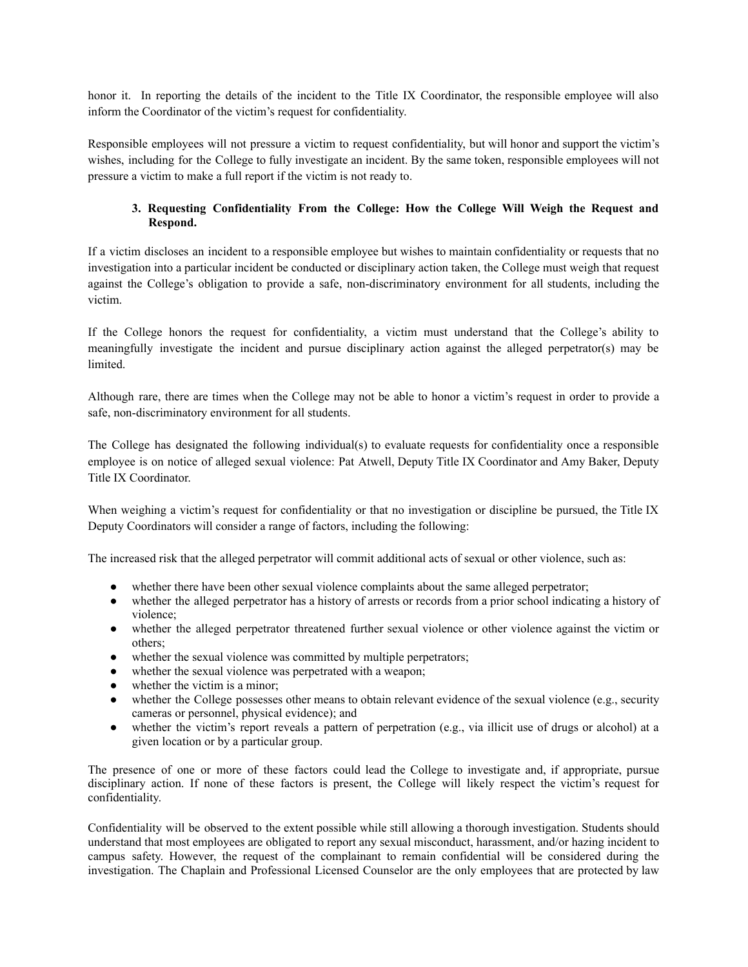honor it. In reporting the details of the incident to the Title IX Coordinator, the responsible employee will also inform the Coordinator of the victim's request for confidentiality.

Responsible employees will not pressure a victim to request confidentiality, but will honor and support the victim's wishes, including for the College to fully investigate an incident. By the same token, responsible employees will not pressure a victim to make a full report if the victim is not ready to.

## **3. Requesting Confidentiality From the College: How the College Will Weigh the Request and Respond.**

If a victim discloses an incident to a responsible employee but wishes to maintain confidentiality or requests that no investigation into a particular incident be conducted or disciplinary action taken, the College must weigh that request against the College's obligation to provide a safe, non-discriminatory environment for all students, including the victim.

If the College honors the request for confidentiality, a victim must understand that the College's ability to meaningfully investigate the incident and pursue disciplinary action against the alleged perpetrator(s) may be limited.

Although rare, there are times when the College may not be able to honor a victim's request in order to provide a safe, non-discriminatory environment for all students.

The College has designated the following individual(s) to evaluate requests for confidentiality once a responsible employee is on notice of alleged sexual violence: Pat Atwell, Deputy Title IX Coordinator and Amy Baker, Deputy Title IX Coordinator.

When weighing a victim's request for confidentiality or that no investigation or discipline be pursued, the Title IX Deputy Coordinators will consider a range of factors, including the following:

The increased risk that the alleged perpetrator will commit additional acts of sexual or other violence, such as:

- whether there have been other sexual violence complaints about the same alleged perpetrator;
- whether the alleged perpetrator has a history of arrests or records from a prior school indicating a history of violence;
- whether the alleged perpetrator threatened further sexual violence or other violence against the victim or others;
- whether the sexual violence was committed by multiple perpetrators;
- whether the sexual violence was perpetrated with a weapon;
- whether the victim is a minor;
- whether the College possesses other means to obtain relevant evidence of the sexual violence (e.g., security cameras or personnel, physical evidence); and
- whether the victim's report reveals a pattern of perpetration (e.g., via illicit use of drugs or alcohol) at a given location or by a particular group.

The presence of one or more of these factors could lead the College to investigate and, if appropriate, pursue disciplinary action. If none of these factors is present, the College will likely respect the victim's request for confidentiality.

Confidentiality will be observed to the extent possible while still allowing a thorough investigation. Students should understand that most employees are obligated to report any sexual misconduct, harassment, and/or hazing incident to campus safety. However, the request of the complainant to remain confidential will be considered during the investigation. The Chaplain and Professional Licensed Counselor are the only employees that are protected by law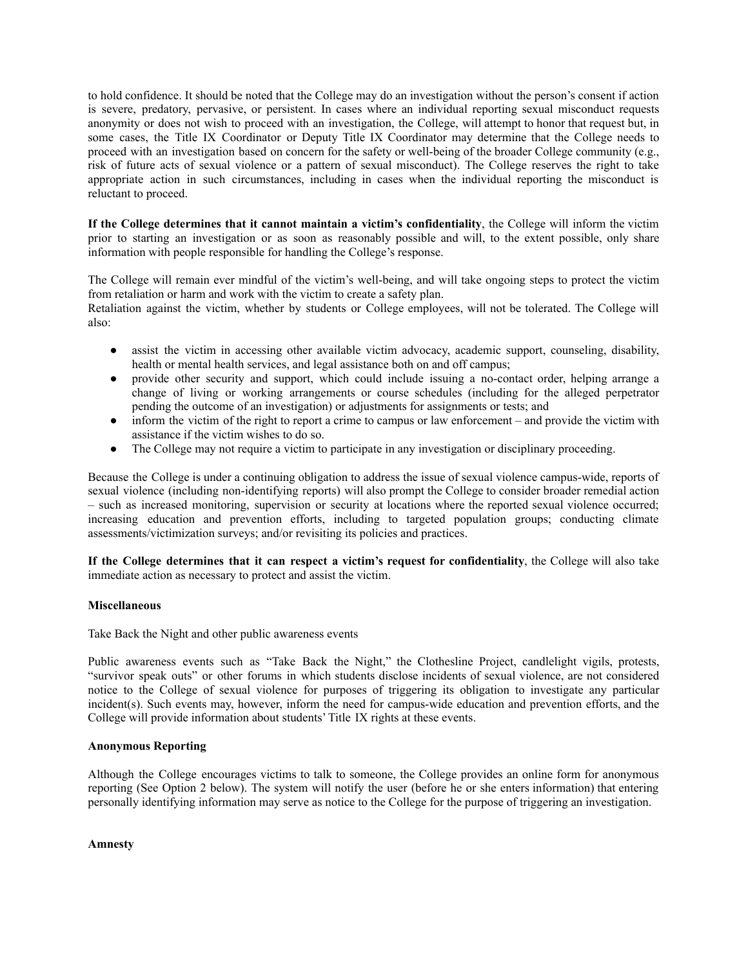to hold confidence. It should be noted that the College may do an investigation without the person's consent if action is severe, predatory, pervasive, or persistent. In cases where an individual reporting sexual misconduct requests anonymity or does not wish to proceed with an investigation, the College, will attempt to honor that request but, in some cases, the Title IX Coordinator or Deputy Title IX Coordinator may determine that the College needs to proceed with an investigation based on concern for the safety or well-being of the broader College community (e.g., risk of future acts of sexual violence or a pattern of sexual misconduct). The College reserves the right to take appropriate action in such circumstances, including in cases when the individual reporting the misconduct is reluctant to proceed.

**If the College determines that it cannot maintain a victim's confidentiality**, the College will inform the victim prior to starting an investigation or as soon as reasonably possible and will, to the extent possible, only share information with people responsible for handling the College's response.

The College will remain ever mindful of the victim's well-being, and will take ongoing steps to protect the victim from retaliation or harm and work with the victim to create a safety plan.

Retaliation against the victim, whether by students or College employees, will not be tolerated. The College will also:

- assist the victim in accessing other available victim advocacy, academic support, counseling, disability, health or mental health services, and legal assistance both on and off campus;
- provide other security and support, which could include issuing a no-contact order, helping arrange a change of living or working arrangements or course schedules (including for the alleged perpetrator pending the outcome of an investigation) or adjustments for assignments or tests; and
- inform the victim of the right to report a crime to campus or law enforcement and provide the victim with assistance if the victim wishes to do so.
- The College may not require a victim to participate in any investigation or disciplinary proceeding.

Because the College is under a continuing obligation to address the issue of sexual violence campus-wide, reports of sexual violence (including non-identifying reports) will also prompt the College to consider broader remedial action – such as increased monitoring, supervision or security at locations where the reported sexual violence occurred; increasing education and prevention efforts, including to targeted population groups; conducting climate assessments/victimization surveys; and/or revisiting its policies and practices.

**If the College determines that it can respect a victim's request for confidentiality**, the College will also take immediate action as necessary to protect and assist the victim.

#### **Miscellaneous**

Take Back the Night and other public awareness events

Public awareness events such as "Take Back the Night," the Clothesline Project, candlelight vigils, protests, "survivor speak outs" or other forums in which students disclose incidents of sexual violence, are not considered notice to the College of sexual violence for purposes of triggering its obligation to investigate any particular incident(s). Such events may, however, inform the need for campus-wide education and prevention efforts, and the College will provide information about students' Title IX rights at these events.

#### **Anonymous Reporting**

Although the College encourages victims to talk to someone, the College provides an online form for anonymous reporting (See Option 2 below). The system will notify the user (before he or she enters information) that entering personally identifying information may serve as notice to the College for the purpose of triggering an investigation.

**Amnesty**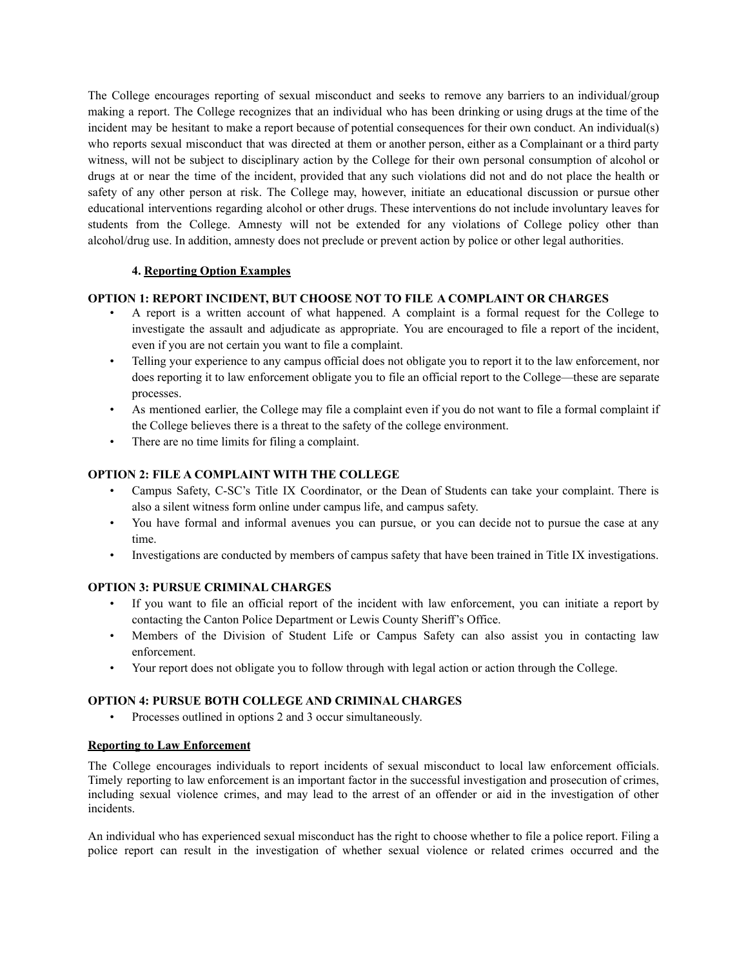The College encourages reporting of sexual misconduct and seeks to remove any barriers to an individual/group making a report. The College recognizes that an individual who has been drinking or using drugs at the time of the incident may be hesitant to make a report because of potential consequences for their own conduct. An individual(s) who reports sexual misconduct that was directed at them or another person, either as a Complainant or a third party witness, will not be subject to disciplinary action by the College for their own personal consumption of alcohol or drugs at or near the time of the incident, provided that any such violations did not and do not place the health or safety of any other person at risk. The College may, however, initiate an educational discussion or pursue other educational interventions regarding alcohol or other drugs. These interventions do not include involuntary leaves for students from the College. Amnesty will not be extended for any violations of College policy other than alcohol/drug use. In addition, amnesty does not preclude or prevent action by police or other legal authorities.

## **4. Reporting Option Examples**

## **OPTION 1: REPORT INCIDENT, BUT CHOOSE NOT TO FILE A COMPLAINT OR CHARGES**

- A report is a written account of what happened. A complaint is a formal request for the College to investigate the assault and adjudicate as appropriate. You are encouraged to file a report of the incident, even if you are not certain you want to file a complaint.
- Telling your experience to any campus official does not obligate you to report it to the law enforcement, nor does reporting it to law enforcement obligate you to file an official report to the College—these are separate processes.
- As mentioned earlier, the College may file a complaint even if you do not want to file a formal complaint if the College believes there is a threat to the safety of the college environment.
- There are no time limits for filing a complaint.

## **OPTION 2: FILE A COMPLAINT WITH THE COLLEGE**

- Campus Safety, C-SC's Title IX Coordinator, or the Dean of Students can take your complaint. There is also a silent witness form online under campus life, and campus safety.
- You have formal and informal avenues you can pursue, or you can decide not to pursue the case at any time.
- Investigations are conducted by members of campus safety that have been trained in Title IX investigations.

#### **OPTION 3: PURSUE CRIMINAL CHARGES**

- If you want to file an official report of the incident with law enforcement, you can initiate a report by contacting the Canton Police Department or Lewis County Sheriff's Office.
- Members of the Division of Student Life or Campus Safety can also assist you in contacting law enforcement.
- Your report does not obligate you to follow through with legal action or action through the College.

# **OPTION 4: PURSUE BOTH COLLEGE AND CRIMINAL CHARGES**

• Processes outlined in options 2 and 3 occur simultaneously.

## **Reporting to Law Enforcement**

The College encourages individuals to report incidents of sexual misconduct to local law enforcement officials. Timely reporting to law enforcement is an important factor in the successful investigation and prosecution of crimes, including sexual violence crimes, and may lead to the arrest of an offender or aid in the investigation of other incidents.

An individual who has experienced sexual misconduct has the right to choose whether to file a police report. Filing a police report can result in the investigation of whether sexual violence or related crimes occurred and the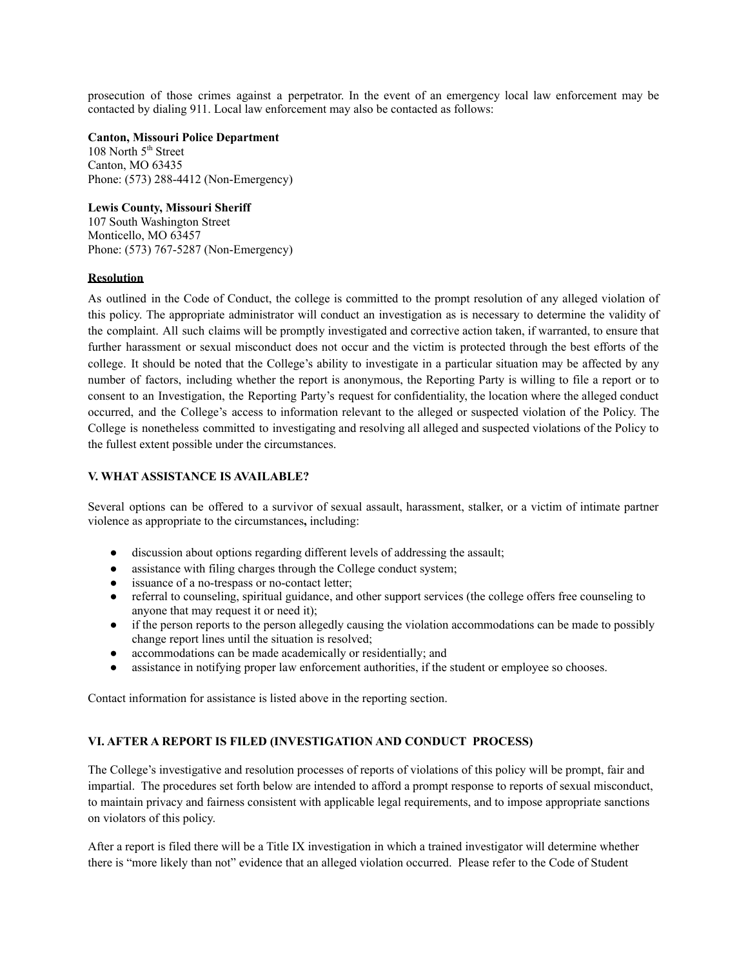prosecution of those crimes against a perpetrator. In the event of an emergency local law enforcement may be contacted by dialing 911. Local law enforcement may also be contacted as follows:

**Canton, Missouri Police Department**

108 North 5<sup>th</sup> Street Canton, MO 63435 Phone: (573) 288-4412 (Non-Emergency)

**Lewis County, Missouri Sheriff**

107 South Washington Street Monticello, MO 63457 Phone: (573) 767-5287 (Non-Emergency)

#### **Resolution**

As outlined in the Code of Conduct, the college is committed to the prompt resolution of any alleged violation of this policy. The appropriate administrator will conduct an investigation as is necessary to determine the validity of the complaint. All such claims will be promptly investigated and corrective action taken, if warranted, to ensure that further harassment or sexual misconduct does not occur and the victim is protected through the best efforts of the college. It should be noted that the College's ability to investigate in a particular situation may be affected by any number of factors, including whether the report is anonymous, the Reporting Party is willing to file a report or to consent to an Investigation, the Reporting Party's request for confidentiality, the location where the alleged conduct occurred, and the College's access to information relevant to the alleged or suspected violation of the Policy. The College is nonetheless committed to investigating and resolving all alleged and suspected violations of the Policy to the fullest extent possible under the circumstances.

## **V. WHAT ASSISTANCE IS AVAILABLE?**

Several options can be offered to a survivor of sexual assault, harassment, stalker, or a victim of intimate partner violence as appropriate to the circumstances**,** including:

- discussion about options regarding different levels of addressing the assault;
- assistance with filing charges through the College conduct system;
- issuance of a no-trespass or no-contact letter;
- referral to counseling, spiritual guidance, and other support services (the college offers free counseling to anyone that may request it or need it);
- if the person reports to the person allegedly causing the violation accommodations can be made to possibly change report lines until the situation is resolved;
- accommodations can be made academically or residentially; and
- assistance in notifying proper law enforcement authorities, if the student or employee so chooses.

Contact information for assistance is listed above in the reporting section.

# **VI. AFTER A REPORT IS FILED (INVESTIGATION AND CONDUCT PROCESS)**

The College's investigative and resolution processes of reports of violations of this policy will be prompt, fair and impartial. The procedures set forth below are intended to afford a prompt response to reports of sexual misconduct, to maintain privacy and fairness consistent with applicable legal requirements, and to impose appropriate sanctions on violators of this policy.

After a report is filed there will be a Title IX investigation in which a trained investigator will determine whether there is "more likely than not" evidence that an alleged violation occurred. Please refer to the Code of Student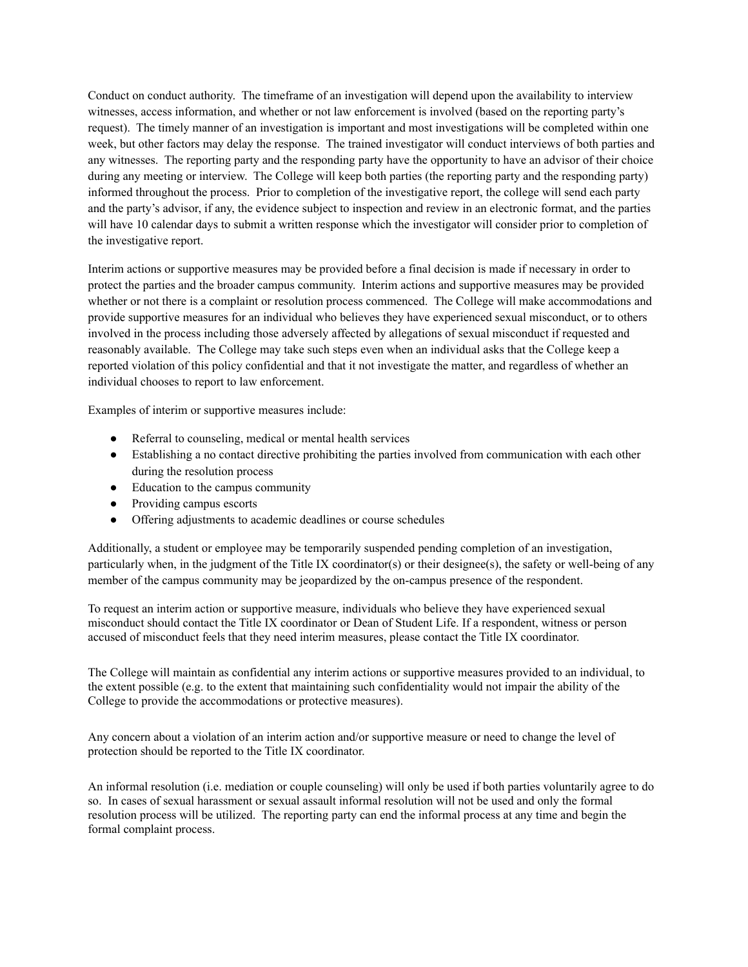Conduct on conduct authority. The timeframe of an investigation will depend upon the availability to interview witnesses, access information, and whether or not law enforcement is involved (based on the reporting party's request). The timely manner of an investigation is important and most investigations will be completed within one week, but other factors may delay the response. The trained investigator will conduct interviews of both parties and any witnesses. The reporting party and the responding party have the opportunity to have an advisor of their choice during any meeting or interview. The College will keep both parties (the reporting party and the responding party) informed throughout the process. Prior to completion of the investigative report, the college will send each party and the party's advisor, if any, the evidence subject to inspection and review in an electronic format, and the parties will have 10 calendar days to submit a written response which the investigator will consider prior to completion of the investigative report.

Interim actions or supportive measures may be provided before a final decision is made if necessary in order to protect the parties and the broader campus community. Interim actions and supportive measures may be provided whether or not there is a complaint or resolution process commenced. The College will make accommodations and provide supportive measures for an individual who believes they have experienced sexual misconduct, or to others involved in the process including those adversely affected by allegations of sexual misconduct if requested and reasonably available. The College may take such steps even when an individual asks that the College keep a reported violation of this policy confidential and that it not investigate the matter, and regardless of whether an individual chooses to report to law enforcement.

Examples of interim or supportive measures include:

- Referral to counseling, medical or mental health services
- Establishing a no contact directive prohibiting the parties involved from communication with each other during the resolution process
- Education to the campus community
- Providing campus escorts
- Offering adjustments to academic deadlines or course schedules

Additionally, a student or employee may be temporarily suspended pending completion of an investigation, particularly when, in the judgment of the Title IX coordinator(s) or their designee(s), the safety or well-being of any member of the campus community may be jeopardized by the on-campus presence of the respondent.

To request an interim action or supportive measure, individuals who believe they have experienced sexual misconduct should contact the Title IX coordinator or Dean of Student Life. If a respondent, witness or person accused of misconduct feels that they need interim measures, please contact the Title IX coordinator.

The College will maintain as confidential any interim actions or supportive measures provided to an individual, to the extent possible (e.g. to the extent that maintaining such confidentiality would not impair the ability of the College to provide the accommodations or protective measures).

Any concern about a violation of an interim action and/or supportive measure or need to change the level of protection should be reported to the Title IX coordinator.

An informal resolution (i.e. mediation or couple counseling) will only be used if both parties voluntarily agree to do so. In cases of sexual harassment or sexual assault informal resolution will not be used and only the formal resolution process will be utilized. The reporting party can end the informal process at any time and begin the formal complaint process.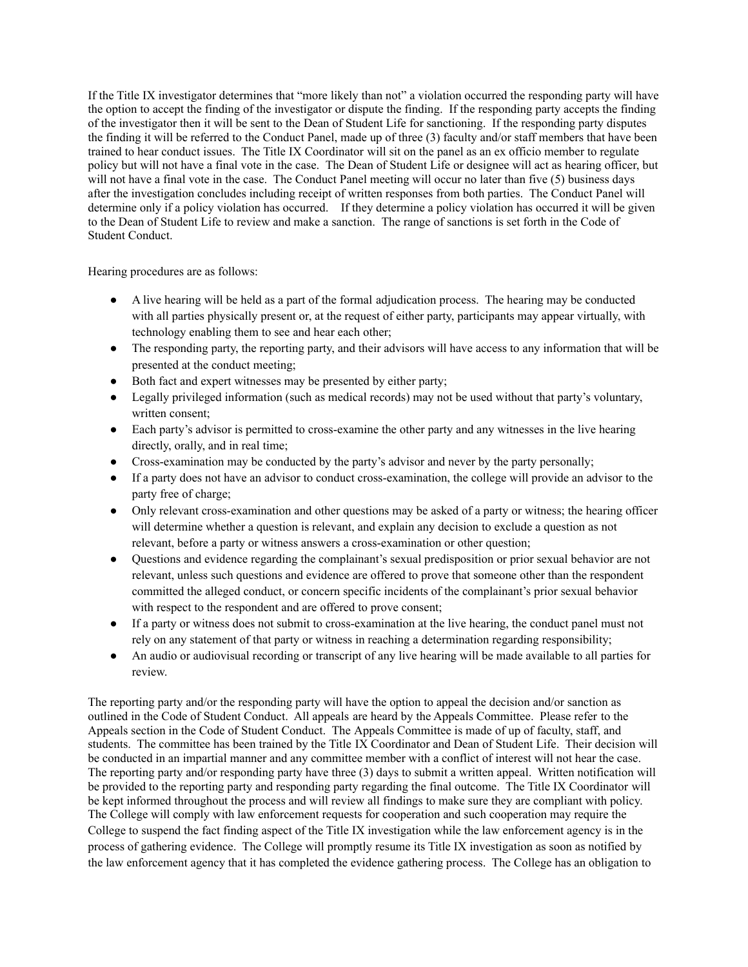If the Title IX investigator determines that "more likely than not" a violation occurred the responding party will have the option to accept the finding of the investigator or dispute the finding. If the responding party accepts the finding of the investigator then it will be sent to the Dean of Student Life for sanctioning. If the responding party disputes the finding it will be referred to the Conduct Panel, made up of three (3) faculty and/or staff members that have been trained to hear conduct issues. The Title IX Coordinator will sit on the panel as an ex officio member to regulate policy but will not have a final vote in the case. The Dean of Student Life or designee will act as hearing officer, but will not have a final vote in the case. The Conduct Panel meeting will occur no later than five (5) business days after the investigation concludes including receipt of written responses from both parties. The Conduct Panel will determine only if a policy violation has occurred. If they determine a policy violation has occurred it will be given to the Dean of Student Life to review and make a sanction. The range of sanctions is set forth in the Code of Student Conduct.

Hearing procedures are as follows:

- A live hearing will be held as a part of the formal adjudication process. The hearing may be conducted with all parties physically present or, at the request of either party, participants may appear virtually, with technology enabling them to see and hear each other;
- The responding party, the reporting party, and their advisors will have access to any information that will be presented at the conduct meeting;
- Both fact and expert witnesses may be presented by either party;
- Legally privileged information (such as medical records) may not be used without that party's voluntary, written consent;
- Each party's advisor is permitted to cross-examine the other party and any witnesses in the live hearing directly, orally, and in real time;
- Cross-examination may be conducted by the party's advisor and never by the party personally;
- If a party does not have an advisor to conduct cross-examination, the college will provide an advisor to the party free of charge;
- Only relevant cross-examination and other questions may be asked of a party or witness; the hearing officer will determine whether a question is relevant, and explain any decision to exclude a question as not relevant, before a party or witness answers a cross-examination or other question;
- Questions and evidence regarding the complainant's sexual predisposition or prior sexual behavior are not relevant, unless such questions and evidence are offered to prove that someone other than the respondent committed the alleged conduct, or concern specific incidents of the complainant's prior sexual behavior with respect to the respondent and are offered to prove consent;
- If a party or witness does not submit to cross-examination at the live hearing, the conduct panel must not rely on any statement of that party or witness in reaching a determination regarding responsibility;
- An audio or audiovisual recording or transcript of any live hearing will be made available to all parties for review.

The reporting party and/or the responding party will have the option to appeal the decision and/or sanction as outlined in the Code of Student Conduct. All appeals are heard by the Appeals Committee. Please refer to the Appeals section in the Code of Student Conduct. The Appeals Committee is made of up of faculty, staff, and students. The committee has been trained by the Title IX Coordinator and Dean of Student Life. Their decision will be conducted in an impartial manner and any committee member with a conflict of interest will not hear the case. The reporting party and/or responding party have three (3) days to submit a written appeal. Written notification will be provided to the reporting party and responding party regarding the final outcome. The Title IX Coordinator will be kept informed throughout the process and will review all findings to make sure they are compliant with policy. The College will comply with law enforcement requests for cooperation and such cooperation may require the College to suspend the fact finding aspect of the Title IX investigation while the law enforcement agency is in the process of gathering evidence. The College will promptly resume its Title IX investigation as soon as notified by the law enforcement agency that it has completed the evidence gathering process. The College has an obligation to